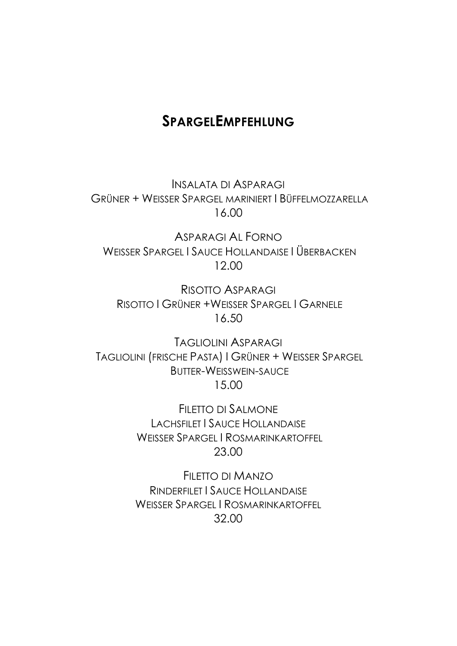### **SPARGELEMPFEHLUNG**

INSALATA DI ASPARAGI GRÜNER + WEISSER SPARGEL MARINIERT I BÜFFELMOZZARELLA 16.00

ASPARAGI AL FORNO WEISSER SPARGEL I SAUCE HOLLANDAISE I ÜBERBACKEN 12.00

RISOTTO ASPARAGI RISOTTO I GRÜNER +WEISSER SPARGEL I GARNELE 16.50

TAGLIOLINI ASPARAGI TAGLIOLINI (FRISCHE PASTA) I GRÜNER + WEISSER SPARGEL BUTTER-WEISSWEIN-SAUCE 15.00

> FILETTO DI SALMONE LACHSFILET I SAUCE HOLLANDAISE WEISSER SPARGEL I ROSMARINKARTOFFEL 23.00

> FILETTO DI MANZO RINDERFILET I SAUCE HOLLANDAISE WEISSER SPARGEL I ROSMARINKARTOFFEL 32.00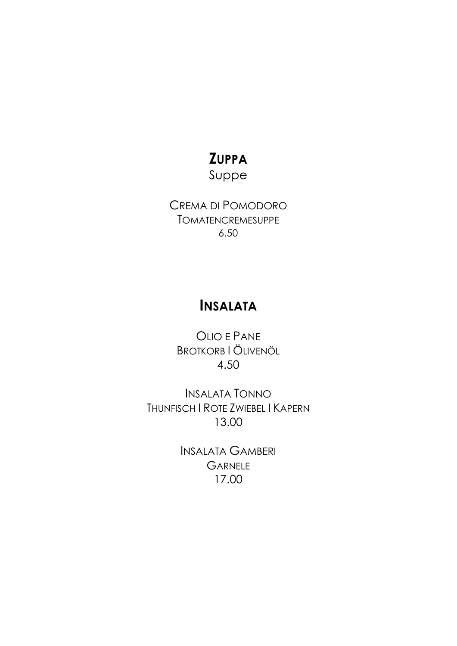# **ZUPPA**

Suppe

CREMA DI POMODORO **TOMATENCREMESUPPE**  $6.50$ 

### **INSALATA**

OLIO E PANE **BROTKORB I ÖLIVENÖL** 4.50

**INSALATA TONNO** THUNFISCH | ROTE ZWIEBEL | KAPERN 13.00

> **INSALATA GAMBERI GARNELE** 17.00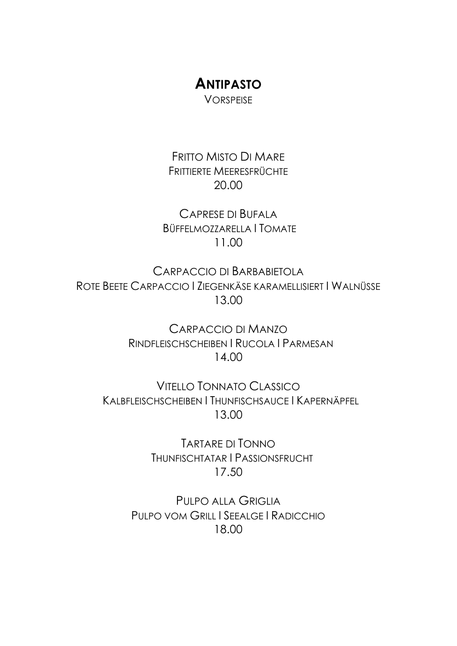# **ANTIPASTO**

**VORSPEISE** 

FRITTO MISTO DI MARE FRITTIERTE MEERESFRÜCHTE 20.00

CAPRESE DI BUFALA BÜFFELMOZZARELLA I TOMATE 11.00

CARPACCIO DI BARBABIETOLA ROTE BEETE CARPACCIO I ZIEGENKÄSE KARAMELLISIERT I WALNÜSSE 13.00

> CARPACCIO DI MANZO RINDFLEISCHSCHEIBEN I RUCOLA I PARMESAN 14.00

VITELLO TONNATO CLASSICO KALBFLEISCHSCHEIBEN I THUNFISCHSAUCE I KAPERNÄPFEL 13.00

> TARTARE DI TONNO THUNFISCHTATAR I PASSIONSFRUCHT 17.50

PULPO ALLA GRIGLIA PULPO VOM GRILL I SEEALGE I RADICCHIO 18.00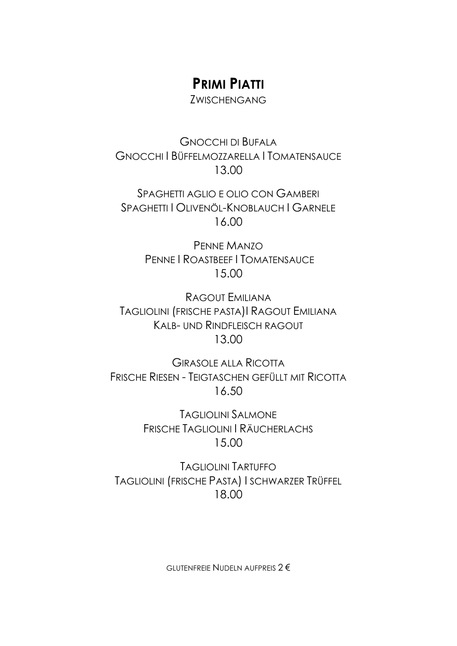### **PRIMI PIATTI**

ZWISCHENGANG

GNOCCHI DI BUFALA GNOCCHI I BÜFFELMOZZARELLA I TOMATENSAUCE 13.00

SPAGHETTI AGLIO E OLIO CON GAMBERI SPAGHETTI I OLIVENÖL-KNOBLAUCH I GARNELE 16.00

> PENNE MANZO PENNE I ROASTBEEF I TOMATENSAUCE 15.00

RAGOUT EMILIANA TAGLIOLINI (FRISCHE PASTA)I RAGOUT EMILIANA KALB- UND RINDFLEISCH RAGOUT 13.00

GIRASOLE ALLA RICOTTA FRISCHE RIESEN - TEIGTASCHEN GEFÜLLT MIT RICOTTA 16.50

> TAGLIOLINI SALMONE FRISCHE TAGLIOLINI I RÄUCHERLACHS 15.00

TAGLIOLINI TARTUFFO TAGLIOLINI (FRISCHE PASTA) I SCHWARZER TRÜFFEL 18.00

GLUTENFREIE NUDELN AUFPREIS 2 €